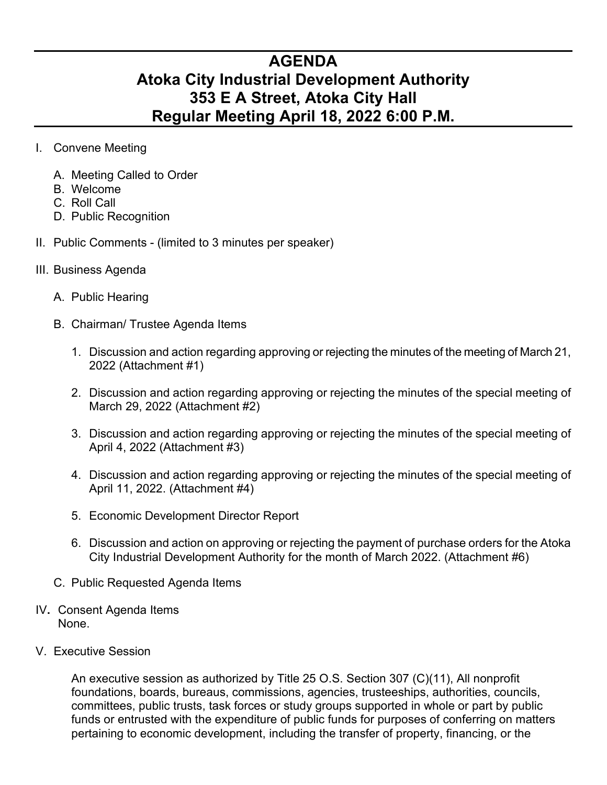## **AGENDA Atoka City Industrial Development Authority 353 E A Street, Atoka City Hall Regular Meeting April 18, 2022 6:00 P.M.**

- I. Convene Meeting
	- A. Meeting Called to Order
	- B. Welcome
	- C. Roll Call
	- D. Public Recognition
- II. Public Comments (limited to 3 minutes per speaker)
- III. Business Agenda
	- A. Public Hearing
	- B. Chairman/ Trustee Agenda Items
		- 1. Discussion and action regarding approving or rejecting the minutes of the meeting of March 21, 2022 (Attachment #1)
		- 2. Discussion and action regarding approving or rejecting the minutes of the special meeting of March 29, 2022 (Attachment #2)
		- 3. Discussion and action regarding approving or rejecting the minutes of the special meeting of April 4, 2022 (Attachment #3)
		- 4. Discussion and action regarding approving or rejecting the minutes of the special meeting of April 11, 2022. (Attachment #4)
		- 5. Economic Development Director Report
		- 6. Discussion and action on approving or rejecting the payment of purchase orders for the Atoka City Industrial Development Authority for the month of March 2022. (Attachment #6)
	- C. Public Requested Agenda Items
- IV**.** Consent Agenda Items None.
- V. Executive Session

An executive session as authorized by Title 25 O.S. Section 307 (C)(11), All nonprofit foundations, boards, bureaus, commissions, agencies, trusteeships, authorities, councils, committees, public trusts, task forces or study groups supported in whole or part by public funds or entrusted with the expenditure of public funds for purposes of conferring on matters pertaining to economic development, including the transfer of property, financing, or the